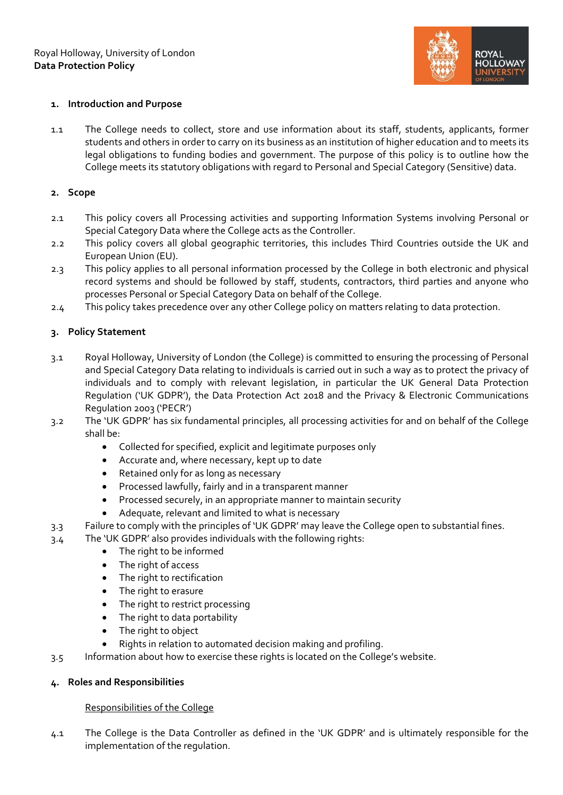

## **1. Introduction and Purpose**

1.1 The College needs to collect, store and use information about its staff, students, applicants, former students and others in order to carry on its business as an institution of higher education and to meets its legal obligations to funding bodies and government. The purpose of this policy is to outline how the College meets its statutory obligations with regard to Personal and Special Category (Sensitive) data.

#### **2. Scope**

- 2.1 This policy covers all Processing activities and supporting Information Systems involving Personal or Special Category Data where the College acts as the Controller.
- 2.2 This policy covers all global geographic territories, this includes Third Countries outside the UK and European Union (EU).
- 2.3 This policy applies to all personal information processed by the College in both electronic and physical record systems and should be followed by staff, students, contractors, third parties and anyone who processes Personal or Special Category Data on behalf of the College.
- 2.4 This policy takes precedence over any other College policy on matters relating to data protection.

## **3. Policy Statement**

- 3.1 Royal Holloway, University of London (the College) is committed to ensuring the processing of Personal and Special Category Data relating to individuals is carried out in such a way as to protect the privacy of individuals and to comply with relevant legislation, in particular the UK General Data Protection Regulation ('UK GDPR'), the Data Protection Act 2018 and the Privacy & Electronic Communications Regulation 2003 ('PECR')
- 3.2 The 'UK GDPR' has six fundamental principles, all processing activities for and on behalf of the College shall be:
	- Collected for specified, explicit and legitimate purposes only
	- Accurate and, where necessary, kept up to date
	- Retained only for as long as necessary
	- Processed lawfully, fairly and in a transparent manner
	- Processed securely, in an appropriate manner to maintain security
	- Adequate, relevant and limited to what is necessary
- 3.3 Failure to comply with the principles of 'UK GDPR' may leave the College open to substantial fines.
- 3.4 The 'UK GDPR' also provides individuals with the following rights:
	- The right to be informed
	- The right of access
	- The right to rectification
	- The right to erasure
	- The right to restrict processing
	- The right to data portability
	- The right to object
	- Rights in relation to automated decision making and profiling.
- 3.5 Information about how to exercise these rights is located on the College's website.

# **4. Roles and Responsibilities**

# Responsibilities of the College

4.1 The College is the Data Controller as defined in the 'UK GDPR' and is ultimately responsible for the implementation of the regulation.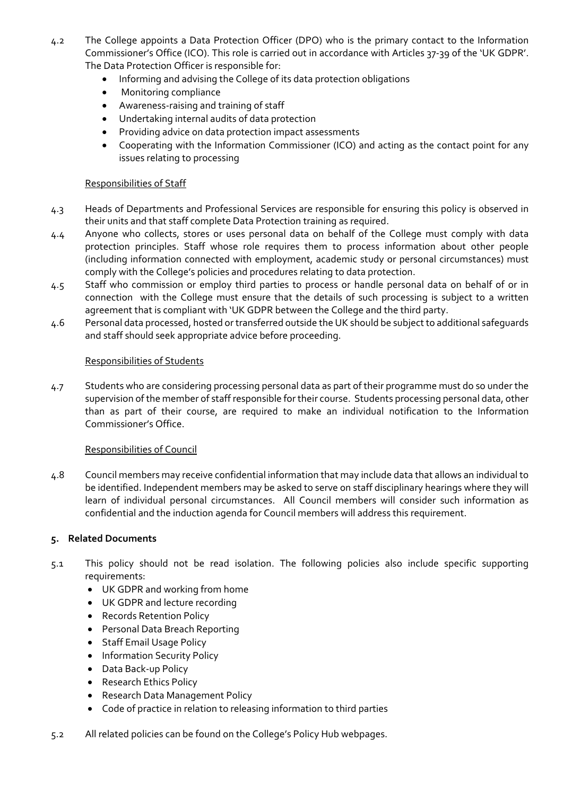- 4.2 The College appoints a Data Protection Officer (DPO) who is the primary contact to the Information Commissioner's Office (ICO). This role is carried out in accordance with Articles 37-39 of the 'UK GDPR'. The Data Protection Officer is responsible for:
	- Informing and advising the College of its data protection obligations
	- Monitoring compliance
	- Awareness-raising and training of staff
	- Undertaking internal audits of data protection
	- Providing advice on data protection impact assessments
	- Cooperating with the Information Commissioner (ICO) and acting as the contact point for any issues relating to processing

## Responsibilities of Staff

- 4.3 Heads of Departments and Professional Services are responsible for ensuring this policy is observed in their units and that staff complete Data Protection training as required.
- 4.4 Anyone who collects, stores or uses personal data on behalf of the College must comply with data protection principles. Staff whose role requires them to process information about other people (including information connected with employment, academic study or personal circumstances) must comply with the College's policies and procedures relating to data protection.
- 4.5 Staff who commission or employ third parties to process or handle personal data on behalf of or in connection with the College must ensure that the details of such processing is subject to a written agreement that is compliant with 'UK GDPR between the College and the third party.
- 4.6 Personal data processed, hosted or transferred outside the UK should be subject to additional safeguards and staff should seek appropriate advice before proceeding.

## Responsibilities of Students

4.7 Students who are considering processing personal data as part of their programme must do so under the supervision of the member of staff responsible for their course. Students processing personal data, other than as part of their course, are required to make an individual notification to the Information Commissioner's Office.

#### Responsibilities of Council

4.8 Council members may receive confidential information that may include data that allows an individual to be identified. Independent members may be asked to serve on staff disciplinary hearings where they will learn of individual personal circumstances. All Council members will consider such information as confidential and the induction agenda for Council members will address this requirement.

#### **5. Related Documents**

- 5.1 This policy should not be read isolation. The following policies also include specific supporting requirements:
	- UK GDPR and working from home
	- UK GDPR and lecture recording
	- Records Retention Policy
	- Personal Data Breach Reporting
	- Staff Email Usage Policy
	- Information Security Policy
	- Data Back-up Policy
	- Research Ethics Policy
	- Research Data Management Policy
	- Code of practice in relation to releasing information to third parties
- 5.2 All related policies can be found on the College's Policy Hub webpages.